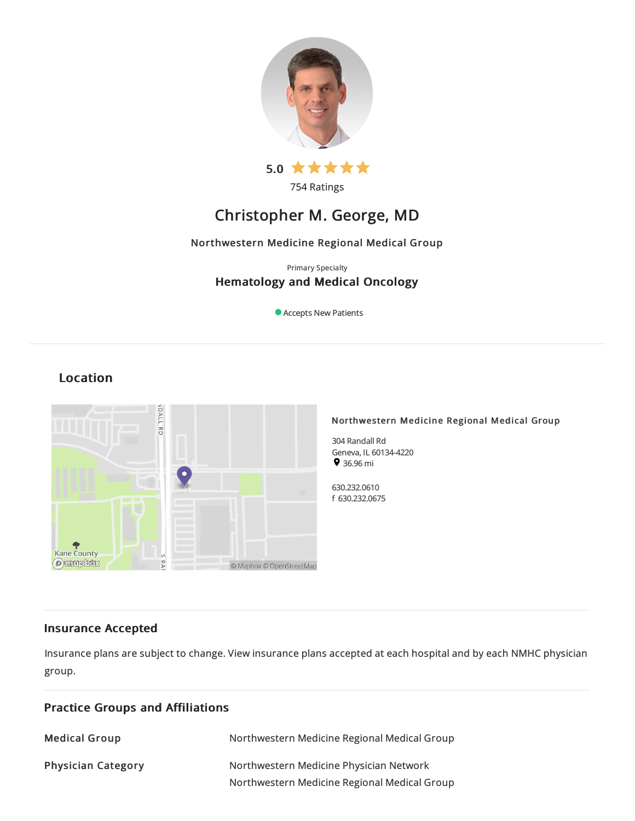

754 Ratings

# Christopher M. George, MD

# Northwestern Medicine Regional Medical Group

# Primary Specialty Hematology and Medical Oncology

Accepts New Patients

# Location



# Insurance Accepted

Insurance plans are subject to change. View [insurance](https://www.nm.org/patients-and-visitors/billing-and-insurance/insurance-information/accepted-insurance-plans) plans accepted at each hospital and by each NMHC physician group.

| <b>Practice Groups and Affiliations</b> |                                                                                         |  |
|-----------------------------------------|-----------------------------------------------------------------------------------------|--|
| <b>Medical Group</b>                    | Northwestern Medicine Regional Medical Group                                            |  |
| <b>Physician Category</b>               | Northwestern Medicine Physician Network<br>Northwestern Medicine Regional Medical Group |  |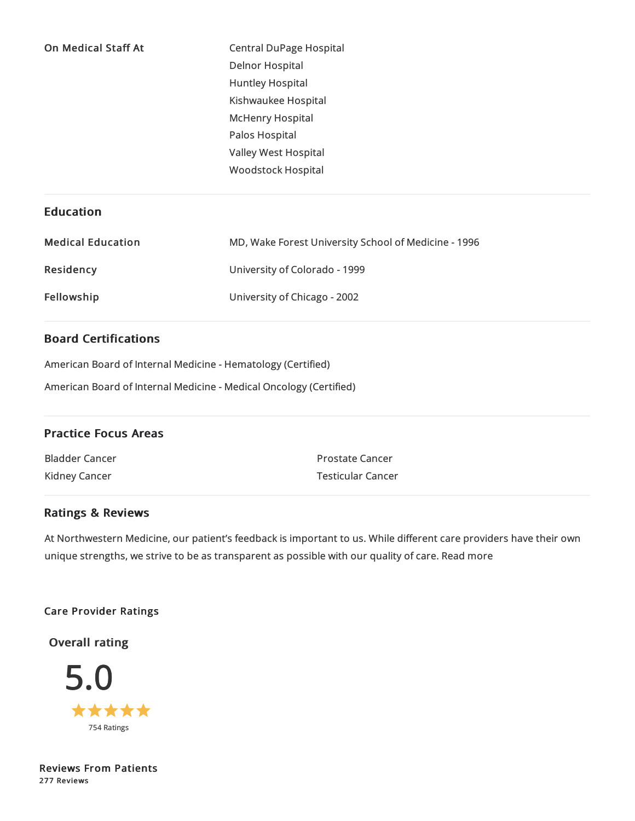| <b>On Medical Staff At</b> | <b>Central DuPage Hospital</b> |
|----------------------------|--------------------------------|
|                            | <b>Delnor Hospital</b>         |
|                            | <b>Huntley Hospital</b>        |
|                            | Kishwaukee Hospital            |
|                            | <b>McHenry Hospital</b>        |
|                            | Palos Hospital                 |
|                            | Valley West Hospital           |
|                            | <b>Woodstock Hospital</b>      |
|                            |                                |

# Education

| <b>Medical Education</b> | MD, Wake Forest University School of Medicine - 1996 |
|--------------------------|------------------------------------------------------|
| Residency                | University of Colorado - 1999                        |
| Fellowship               | University of Chicago - 2002                         |

# Board Certifications

American Board of Internal Medicine- Hematology (Certified)

American Board of Internal Medicine- Medical Oncology (Certified)

# Practice Focus Areas

Bladder Cancer Kidney Cancer Prostate Cancer Testicular Cancer

# Ratings & Reviews

At Northwestern Medicine, our patient's feedback is important to us. While different care providers have their own unique strengths, we strive to be as transparent as possible with our quality of care. Read more

# Care Provider Ratings

Overall rating



Reviews From Patients 277 Reviews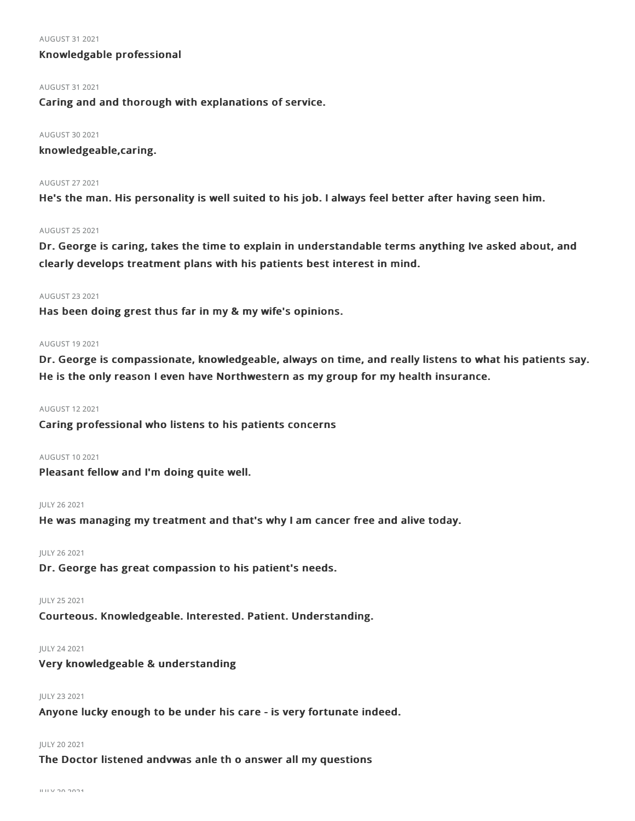#### AUGUST 312021

# Knowledgable professional

#### AUGUST 312021

Caring and and thorough with explanations of service.

#### AUGUST 302021

knowledgeable,caring.

#### AUGUST 272021

He's the man. His personality is well suited to his job. I always feel better after having seen him.

#### AUGUST 252021

Dr. George is caring, takes the time to explain in understandable terms anything Ive asked about, and clearly develops treatment plans with his patients best interest in mind.

#### AUGUST 232021

Has been doing grest thus far in my & my wife's opinions.

# AUGUST 192021

Dr. George is compassionate, knowledgeable, always on time, and really listens to what his patients say. He is the only reason I even have Northwestern as my group for my health insurance.

# AUGUST 122021

Caring professional who listens to his patients concerns

# AUGUST 102021

Pleasant fellow and I'm doing quite well.

#### JULY 262021

He was managing my treatment and that's why I am cancer free and alive today.

## JULY 262021

Dr. George has great compassion to his patient's needs.

# JULY 252021

Courteous. Knowledgeable. Interested. Patient. Understanding.

# JULY 242021

Very knowledgeable & understanding

### JULY 232021

Anyone lucky enough to be under his care - is very fortunate indeed.

#### JULY 202021

The Doctor listened andvwas anle th o answer all my questions

 $U U V 20 2024$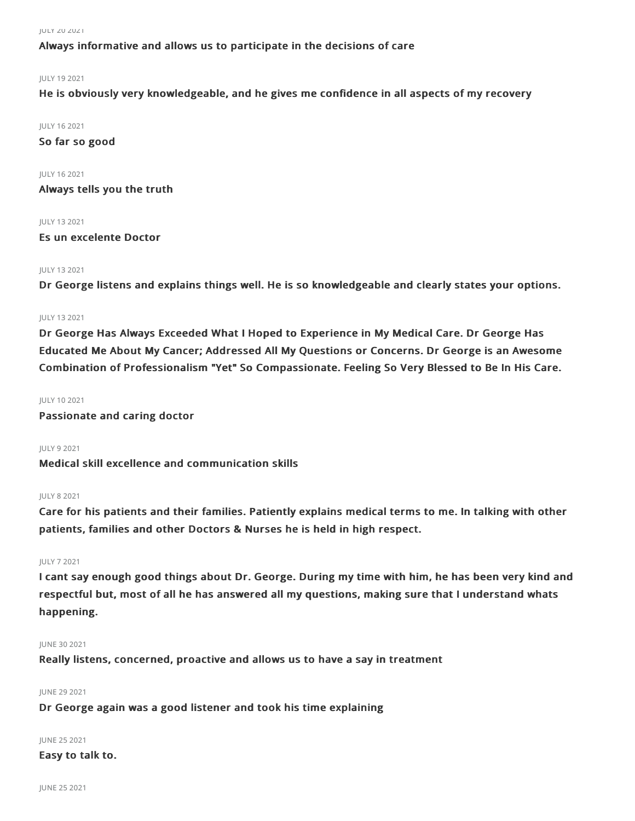JULY 202021

Always informative and allows us to participate in the decisions of care

### JULY 192021

He is obviously very knowledgeable, and he gives me confidence in all aspects of my recovery

JULY 162021

So far so good

JULY 162021 Always tells you the truth

JULY 132021

Es un excelente Doctor

# JULY 132021

Dr George listens and explains things well. He is so knowledgeable and clearly states your options.

### JULY 132021

Dr George Has Always Exceeded What I Hoped to Experience in My Medical Care. Dr George Has Educated Me About My Cancer; Addressed All My Questions or Concerns. Dr George is an Awesome Combination of Professionalism "Yet" So Compassionate. Feeling So Very Blessed to Be In His Care.

### JULY 102021

Passionate and caring doctor

JULY 92021

Medical skill excellence and communication skills

### JULY 82021

Care for his patients and their families. Patiently explains medical terms to me. In talking with other patients, families and other Doctors & Nurses he is held in high respect.

#### JULY 72021

I cant say enough good things about Dr. George. During my time with him, he has been very kind and respectful but, most of all he has answered all my questions, making sure that I understand whats happening.

# JUNE 302021

Really listens, concerned, proactive and allows us to have a say in treatment

#### **IUNE 29 2021**

Dr George again was a good listener and took his time explaining

# JUNE 252021

# Easy to talk to.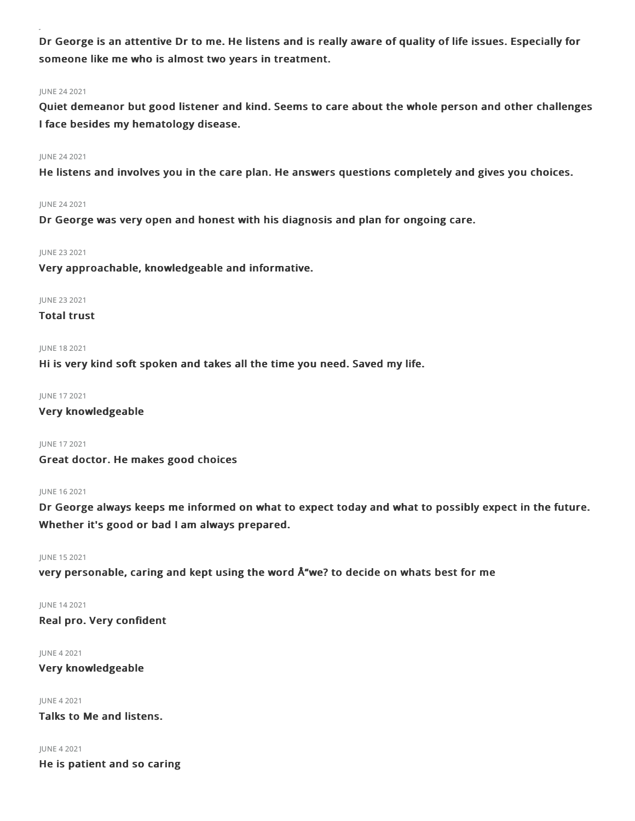Dr George is an attentive Dr to me. He listens and is really aware of quality of life issues. Especially for someone like me who is almost two years in treatment.

### JUNE 242021

Quiet demeanor but good listener and kind. Seems to care about the whole person and other challenges I face besides my hematology disease.

### JUNE 242021

He listens and involves you in the care plan. He answers questions completely and gives you choices.

#### JUNE 242021

Dr George was very open and honest with his diagnosis and plan for ongoing care.

# JUNE 232021

Very approachable, knowledgeable and informative.

#### JUNE 232021

# Total trust

### JUNE 182021

Hi is very kind soft spoken and takes all the time you need. Saved my life.

JUNE 172021

Very knowledgeable

JUNE 172021

Great doctor. He makes good choices

# JUNE 162021

Dr George always keeps me informed on what to expect today and what to possibly expect in the future. Whether it's good or bad I am always prepared.

#### JUNE 152021

very personable, caring and kept using the word Å"we? to decide on whats best for me

# JUNE 142021

Real pro. Very confident

#### JUNE 42021

Very knowledgeable

# JUNE 42021

Talks to Me and listens.

#### JUNE 42021

He is patient and so caring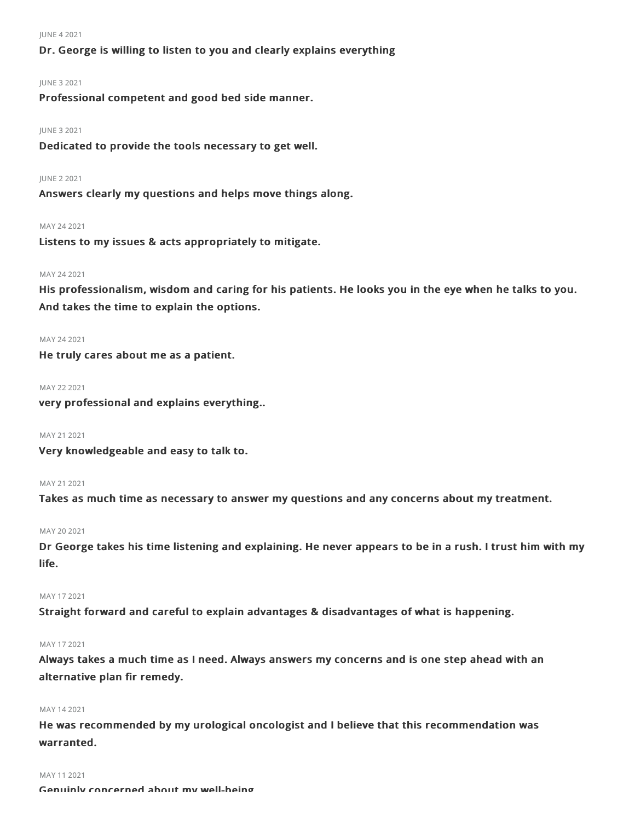#### JUNE 42021

# Dr. George is willing to listen to you and clearly explains everything

### JUNE 32021

Professional competent and good bed side manner.

#### JUNE 32021

Dedicated to provide the tools necessary to get well.

#### JUNE 22021

Answers clearly my questions and helps move things along.

#### MAY 242021

Listens to my issues & acts appropriately to mitigate.

# MAY 242021

His professionalism, wisdom and caring for his patients. He looks you in the eye when he talks to you. And takes the time to explain the options.

#### MAY 242021

He truly cares about me as a patient.

#### MAY 222021

very professional and explains everything..

#### MAY 21 2021

Very knowledgeable and easy to talk to.

#### MAY 212021

Takes as much time as necessary to answer my questions and any concerns about my treatment.

# MAY 20 2021

Dr George takes his time listening and explaining. He never appears to be in a rush. I trust him with my life.

#### MAY 172021

Straight forward and careful to explain advantages & disadvantages of what is happening.

#### MAY 172021

Always takes a much time as I need. Always answers my concerns and is one step ahead with an alternative plan fir remedy.

#### MAY 142021

He was recommended by my urological oncologist and I believe that this recommendation was warranted.

#### MAY 11 2021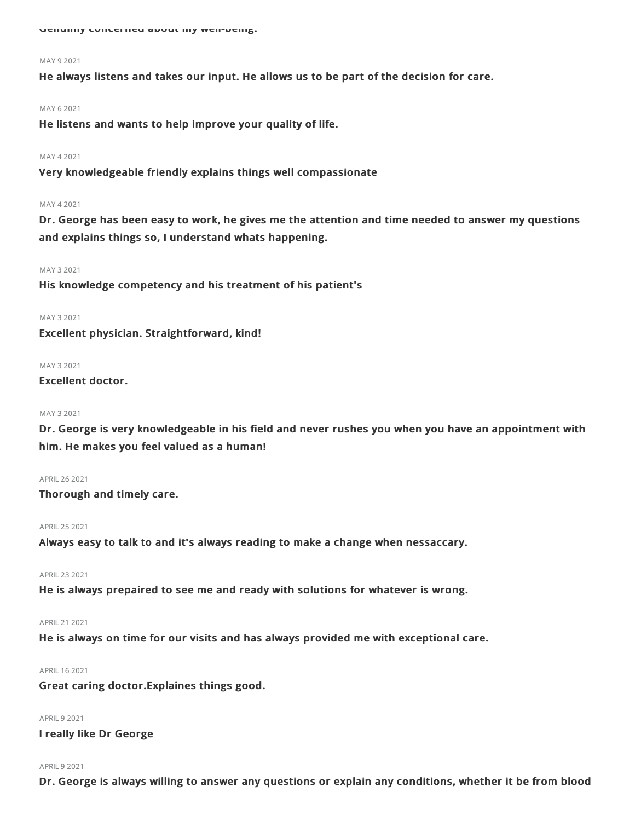Genuing concerned about my well-being.

#### MAY 92021

He always listens and takes our input. He allows us to be part of the decision for care.

#### MAY 62021

He listens and wants to help improve your quality of life.

#### MAY 42021

Very knowledgeable friendly explains things well compassionate

#### MAY 42021

Dr. George has been easy to work, he gives me the attention and time needed to answer my questions and explains things so, I understand whats happening.

#### MAY 32021

His knowledge competency and his treatment of his patient's

#### MAY 32021

Excellent physician. Straightforward, kind!

#### **MAY 32021**

# Excellent doctor.

#### MAY 32021

Dr. George is very knowledgeable in his field and never rushes you when you have an appointment with him. He makes you feel valued as a human!

#### APRIL262021

Thorough and timely care.

#### APRIL 25 2021

Always easy to talk to and it's always reading to make a change when nessaccary.

#### APRIL232021

He is always prepaired to see me and ready with solutions for whatever is wrong.

# APRIL212021

He is always on time for our visits and has always provided me with exceptional care.

# APRIL 16 2021

Great caring doctor.Explaines things good.

# APRIL 9 2021

I really like Dr George

#### **APRIL 9 2021**

Dr. George is always willing to answer any questions or explain any conditions, whether it be from blood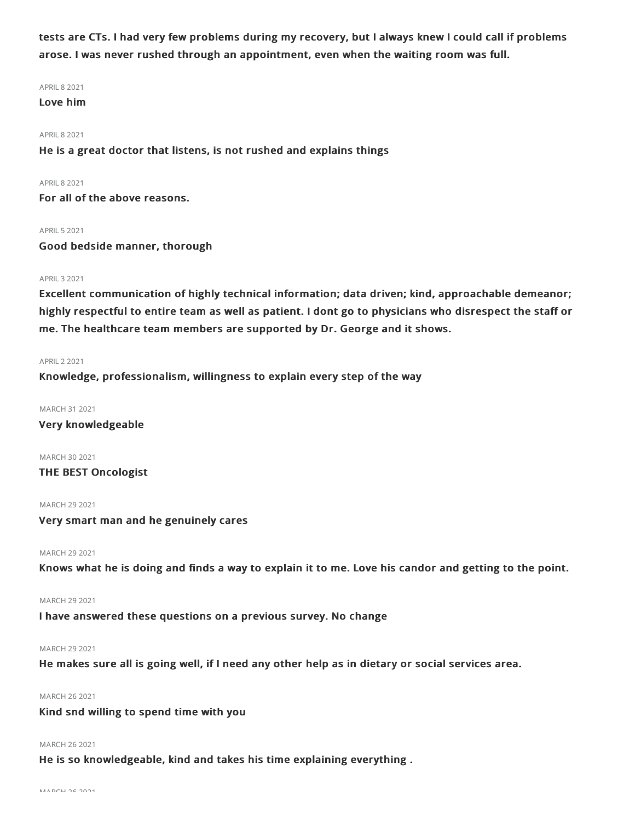tests are CTs. I had very few problems during my recovery, but I always knew I could call if problems arose. I was never rushed through an appointment, even when the waiting room was full.

APRIL 8 2021

# Love him

#### **APRIL 8 2021**

He is a great doctor that listens, is not rushed and explains things

#### **APRIL 8 2021**

For all of the above reasons.

#### APRIL52021

Good bedside manner, thorough

### APRIL32021

Excellent communication of highly technical information; data driven; kind, approachable demeanor; highly respectful to entire team as well as patient. I dont go to physicians who disrespect the staff or me. The healthcare team members are supported by Dr. George and it shows.

#### APRIL22021

Knowledge, professionalism, willingness to explain every step of the way

#### MARCH 312021

Very knowledgeable

MARCH 30 2021 THE BEST Oncologist

MARCH 29 2021

Very smart man and he genuinely cares

MARCH 29 2021

Knows what he is doing and finds a way to explain it to me. Love his candor and getting to the point.

MARCH 29 2021

I have answered these questions on a previous survey. No change

### MARCH 29 2021

He makes sure all is going well, if I need any other help as in dietary or social services area.

### MARCH 262021

# Kind snd willing to spend time with you

#### MARCH 262021

He is so knowledgeable, kind and takes his time explaining everything .

MARCH 262021